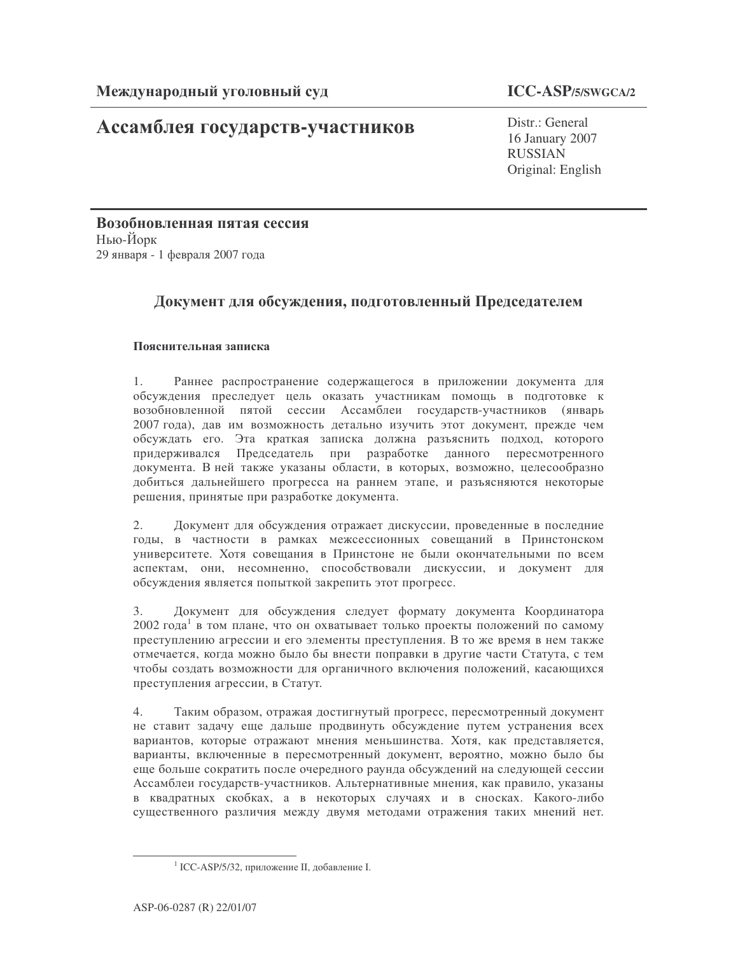# Ассамблея государств-участников

Distr.: General 16 January 2007 **RUSSIAN** Original: English

Возобновленная пятая сессия Нью-Йорк 29 января - 1 февраля 2007 года

## Документ для обсуждения, подготовленный Председателем

## Пояснительная записка

Раннее распространение содержащегося в приложении документа для  $\mathbf{1}$ обсуждения преследует цель оказать участникам помощь в подготовке к возобновленной пятой сессии Ассамблеи государств-участников (январь 2007 года), дав им возможность детально изучить этот документ, прежде чем обсуждать его. Эта краткая записка должна разъяснить подход, которого придерживался Председатель при разработке данного пересмотренного документа. В ней также указаны области, в которых, возможно, целесообразно добиться дальнейшего прогресса на раннем этапе, и разъясняются некоторые решения, принятые при разработке документа.

Документ для обсуждения отражает дискуссии, проведенные в последние 2. годы, в частности в рамках межсессионных совещаний в Принстонском университете. Хотя совещания в Принстоне не были окончательными по всем аспектам, они, несомненно, способствовали дискуссии, и документ для обсуждения является попыткой закрепить этот прогресс.

Документ для обсуждения следует формату документа Координатора  $3.$ 2002 года<sup>1</sup> в том плане, что он охватывает только проекты положений по самому преступлению агрессии и его элементы преступления. В то же время в нем также отмечается, когда можно было бы внести поправки в другие части Статута, с тем чтобы создать возможности для органичного включения положений, касающихся преступления агрессии, в Статут.

Таким образом, отражая достигнутый прогресс, пересмотренный документ  $4.$ не ставит задачу еще дальше продвинуть обсуждение путем устранения всех вариантов, которые отражают мнения меньшинства. Хотя, как представляется, варианты, включенные в пересмотренный документ, вероятно, можно было бы еще больше сократить после очередного раунда обсуждений на следующей сессии Ассамблеи государств-участников. Альтернативные мнения, как правило, указаны в квадратных скобках, а в некоторых случаях и в сносках. Какого-либо существенного различия между двумя методами отражения таких мнений нет.

<sup>&</sup>lt;sup>1</sup> ICC-ASP/5/32, приложение II, добавление I.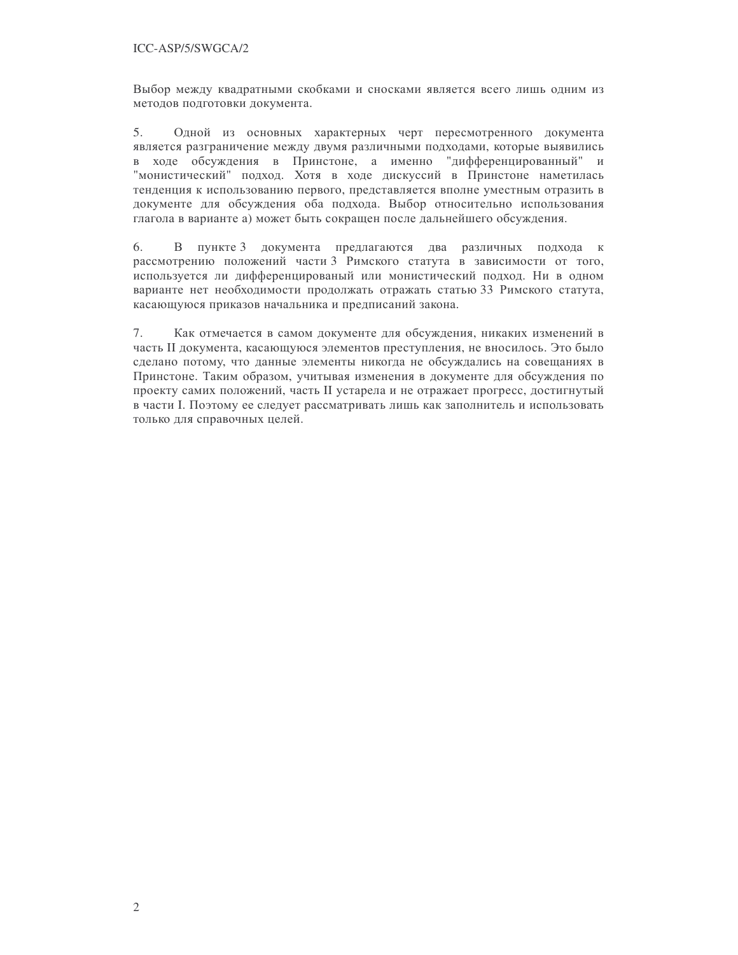Выбор между квадратными скобками и сносками является всего лишь одним из методов подготовки документа.

5. Одной из основных характерных черт пересмотренного документа является разграничение между двумя различными подходами, которые выявились в ходе обсуждения в Принстоне, а именно "дифференцированный" и "монистический" подход. Хотя в ходе дискуссий в Принстоне наметилась тенденция к использованию первого, представляется вполне уместным отразить в документе для обсуждения оба подхода. Выбор относительно использования глагола в варианте а) может быть сокращен после дальнейшего обсуждения.

6. В пункте 3 документа предлагаются два различных подхода к рассмотрению положений части 3 Римского статута в зависимости от того, используется ли дифференцированый или монистический подход. Ни в одном варианте нет необходимости продолжать отражать статью 33 Римского статута, касающуюся приказов начальника и предписаний закона.

7. Как отмечается в самом документе для обсуждения, никаких изменений в часть II документа, касающуюся элементов преступления, не вносилось. Это было сделано потому, что данные элементы никогда не обсуждались на совещаниях в Принстоне. Таким образом, учитывая изменения в документе для обсуждения по проекту самих положений, часть II устарела и не отражает прогресс, достигнутый в части І. Поэтому ее следует рассматривать лишь как заполнитель и использовать только для справочных целей.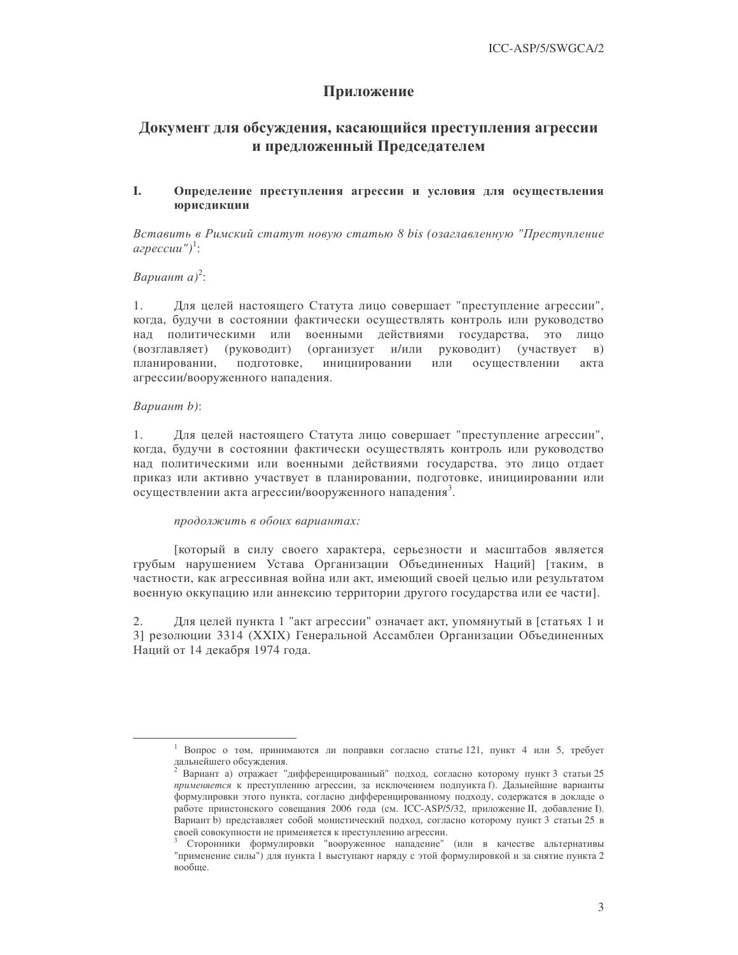## Приложение

## Документ для обсуждения, касающийся преступления агрессии и предложенный Председателем

#### L. Определение преступления агрессии и условия для осуществления юрисдикции

Вставить в Римский статут новую статью 8 bis (озаглавленную "Преступление  $a$ *zpeccuu*")<sup>1</sup>:

### Вариант а)<sup>2</sup>:

Для целей настоящего Статута лицо совершает "преступление агрессии",  $1.$ когда, будучи в состоянии фактически осуществлять контроль или руководство над политическими или военными действиями государства, это лицо (возглавляет) (руководит) (организует и/или руководит) (участвует  $B)$ планировании. подготовке. инициировании или осуществлении акта агрессии/вооруженного нападения.

#### Вариант b):

 $1$ Для целей настоящего Статута лицо совершает "преступление агрессии", когда, будучи в состоянии фактически осуществлять контроль или руководство над политическими или военными действиями государства, это лицо отдает приказ или активно участвует в планировании, подготовке, инициировании или осуществлении акта агрессии/вооруженного нападения<sup>3</sup>.

#### продолжить в обоих вариантах:

[который в силу своего характера, серьезности и масштабов является грубым нарушением Устава Организации Объединенных Наций] [таким, в частности, как агрессивная война или акт, имеющий своей целью или результатом военную оккупацию или аннексию территории другого государства или ее части].

Для целей пункта 1 "акт агрессии" означает акт, упомянутый в [статьях 1 и  $2.$ 3] резолюции 3314 (XXIX) Генеральной Ассамблеи Организации Объединенных Наций от 14 декабря 1974 года.

<sup>1</sup> Вопрос о том, принимаются ли поправки согласно статье 121, пункт 4 или 5, требует дальнейшего обсуждения.<br><sup>2</sup> Вариант а) отражает "дифференцированный" подход, согласно которому пункт 3 статьи 25

применяется к преступлению агрессии, за исключением подпункта f). Дальнейшие варианты формулировки этого пункта, согласно дифференцированному подходу, содержатся в докладе о работе принстонского совещания 2006 года (см. ICC-ASP/5/32, приложение II, добавление I). Вариант b) представляет собой монистический подход, согласно которому пункт 3 статьи 25 в своей совокупности не применяется к преступлению агрессии.

<sup>&</sup>lt;sup>3</sup> Сторонники формулировки "вооруженное нападение" (или в качестве альтернативы "применение силы") для пункта 1 выступают наряду с этой формулировкой и за снятие пункта 2 вообще.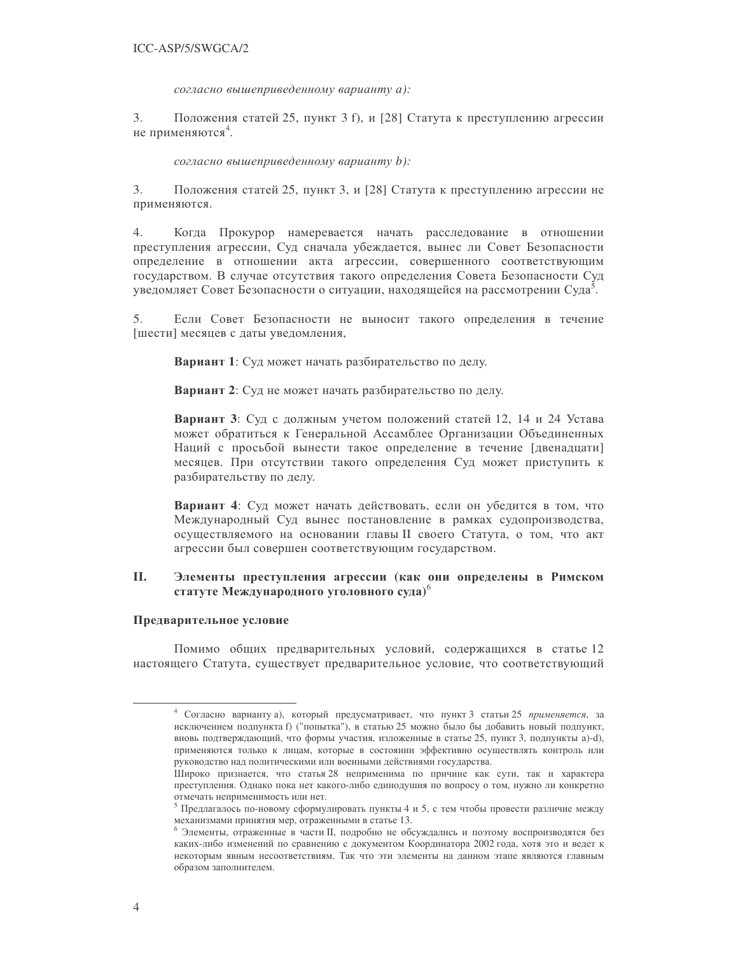согласно вышеприведенному варианту а):

 $3.$ Положения статей 25, пункт 3 f), и [28] Статута к преступлению агрессии не применяются<sup>4</sup>.

согласно вышеприведенному варианту b):

Положения статей 25, пункт 3, и [28] Статута к преступлению агрессии не  $3.$ применяются.

 $4.$ Когда Прокурор намеревается начать расследование в отношении преступления агрессии, Суд сначала убеждается, вынес ли Совет Безопасности определение в отношении акта агрессии, совершенного соответствующим государством. В случае отсутствия такого определения Совета Безопасности Суд уведомляет Совет Безопасности о ситуации, находящейся на рассмотрении Суда<sup>5</sup>.

5. Если Совет Безопасности не выносит такого определения в течение [шести] месяцев с даты уведомления,

Вариант 1: Суд может начать разбирательство по делу.

Вариант 2: Суд не может начать разбирательство по делу.

Вариант 3: Суд с должным учетом положений статей 12, 14 и 24 Устава может обратиться к Генеральной Ассамблее Организации Объединенных Наций с просьбой вынести такое определение в течение [двенадцати] месяцев. При отсутствии такого определения Суд может приступить к разбирательству по делу.

Вариант 4: Суд может начать действовать, если он убедится в том, что Международный Суд вынес постановление в рамках судопроизводства, осуществляемого на основании главы II своего Статута, о том, что акт агрессии был совершен соответствующим государством.

#### **II.** Элементы преступления агрессии (как они определены в Римском статуте Международного уголовного суда)

#### Предварительное условие

Помимо общих предварительных условий, содержащихся в статье 12 настоящего Статута, существует предварительное условие, что соответствующий

<sup>&</sup>lt;sup>4</sup> Согласно варианту а), который предусматривает, что пункт 3 статьи 25 применяется, за исключением подпункта f) ("попытка"), в статью 25 можно было бы добавить новый подпункт, вновь подтверждающий, что формы участия, изложенные в статье 25, пункт 3, подпункты a)-d), применяются только к лицам, которые в состоянии эффективно осуществлять контроль или руководство над политическими или военными действиями государства.

Широко признается, что статья 28 неприменима по причине как сути, так и характера преступления. Однако пока нет какого-либо единодушия по вопросу о том, нужно ли конкретно отмечать неприменимость или нет.

<sup>&</sup>lt;sup>5</sup> Предлагалось по-новому сформулировать пункты 4 и 5, с тем чтобы провести различие между механизмами принятия мер, отраженными в статье 13.

<sup>&</sup>lt;sup>6</sup> Элементы, отраженные в части II, подробно не обсуждались и поэтому воспроизводятся без каких-либо изменений по сравнению с документом Координатора 2002 года, хотя это и ведет к некоторым явным несоответствиям. Так что эти элементы на данном этапе являются главным образом заполнителем.